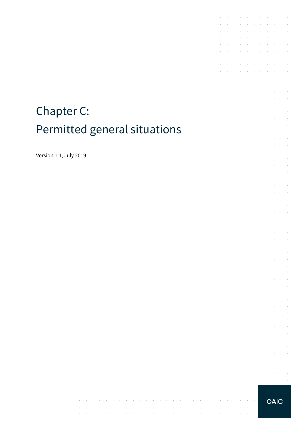# Chapter C: Permitted general situations

 $\alpha$  ,  $\beta$ 

 $\sim$ 

 $\sim$  $\sim$  $\sim$ 

the contract of the contract of

 $\mathcal{A}^{\mathcal{A}}$  and  $\mathcal{A}^{\mathcal{A}}$ 

 $\overline{\phantom{a}}$ 

 $\sim$  $\sim$  $\sim$ 

and the control

 $\sim$ 

 $\sim$ 

**Carl Carl** 

 $\sim$  $\sim$  $\sim$ 

 $\mathcal{A}^{\mathcal{A}}$  and  $\mathcal{A}^{\mathcal{A}}$  and  $\mathcal{A}^{\mathcal{A}}$ 

 $\mathcal{A}^{\mathcal{A}}$  and  $\mathcal{A}^{\mathcal{A}}$  $\sim 10^{-1}$   $\sim$ 

 $\sim 10^{-1}$ 

 $\sim$ 

contractors and the

Version 1.1, July 2019

**OAIC** 

 $\bar{z}$ 

**Contract**  $\sim$ 

 $\mathcal{A}$  is a set of the set of the set of the set of the  $\mathcal{A}$ 

 $\mathcal{A}$  , and the set of the set of the set of the set of  $\mathcal{A}$  $\mathcal{A}$  is a set of the set of the set of  $\mathcal{A}$ 

**Contractor** 

 $\mathcal{L}(\mathcal{L})$  , and  $\mathcal{L}(\mathcal{L})$ 

 $\mathcal{L}_{\rm{max}}$  .  $\sim$  $\sim$ 

 $\sim$  $\sim 10^{-1}$  km

 $\Delta\sim 100$ 

 $\mathcal{L}_{\rm{max}}$ 

 $\mathcal{A}^{\mathcal{A}}$  and  $\mathcal{A}^{\mathcal{A}}$ 

 $\mathcal{A}$  . The second constraints of the second second  $\mathcal{A}$ 

and the contract of the

÷.  $\sim$ 

 $\sim$  $\sim$  $\bar{z}$ 

 $\sim$ 

 $\sim$ 

 $\sim$ 

÷.  $\sim 10^{-1}$  $\mathcal{L}^{\text{max}}$  and  $\mathcal{L}^{\text{max}}$ t,  $\bar{z}$  $\bar{z}$  $\omega_{\rm{max}}$ 

 $\sim$  $\mathcal{L}^{\text{max}}$ 

 $\sim$  $\alpha$  and  $\alpha$ 

 $\mathcal{L}^{\mathcal{L}}$  $\sim 10^{-1}$  $\bar{\epsilon}$  $\bar{z}$ 

÷

 $\sim$  $\mathcal{L}^{\text{max}}$  .

à.  $\bar{z}$ J.  $\mathcal{L}^{\text{max}}$ and a state  $\mathcal{L}$  $\sim$  $\sim$ 

 $\bar{z}$ 

 $\sim$  $\sim 10^{-1}$  .

 $\epsilon$  $\alpha$  and  $\alpha$  $\mathcal{L}^{\text{max}}(\mathcal{L}^{\text{max}})$  $\mathcal{L}$  $\sim$  $\sim$ 

 $\sim$  $\alpha$  and  $\alpha$  $\mathcal{L}^{\text{max}}$ 

 $\overline{\phantom{a}}$ 

 $\mathcal{L}^{\pm}$  $\sim 10^{-10}$  km and a state  $\bar{z}$  $\bar{z}$  $\mathcal{L}$  $\Delta\sim 100$ 

 $\mathcal{L}^{\text{max}}$  $\mathcal{L}^{\text{max}}$ 

 $\mathcal{L}$  $\sim 10^{-11}$  km  $\mathcal{L}^{\text{max}}(\mathcal{L}^{\text{max}})$  .

 $\mathcal{L}$  $\omega_{\rm{max}}$ 

 $\mathcal{L}^{\mathcal{L}}$  $\mathcal{L}^{\text{max}}$ 

 $\hat{\mathcal{A}}$  $\alpha$  ,  $\beta$  ,  $\alpha$  $\mathcal{L}^{\text{max}}(\mathcal{L}^{\text{max}})$  $\cdot$ 

 $\sim$  $\mathcal{L}$  $\sim$ 

 $\mathcal{L}$  $\sim$  $\sim$  $\alpha = \alpha - \beta$  $\alpha$  ,  $\alpha$  ,  $\beta$ 

 $\sim$ 

 $\sim$ 

÷,

 $\mathcal{L}$  $\sim$ 

J.  $\mathcal{L}^{\text{max}}$ 

÷.  $\sim$ 

÷.  $\mathcal{L}_{\mathcal{A}}$  $\sim$  $\sim$ 

t.  $\mathcal{L}$  $\mathcal{L}_{\rm{max}}$  .

 $\bar{\nu}$ 

 $\sim$  $\mathcal{L}_{\mathcal{A}}$ 

> $\mathcal{A}$  $\sim$  $\mathcal{L}^{\text{max}}$

 $\sim$ 

 $\bar{z}$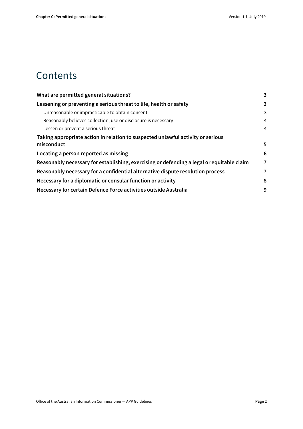#### **Contents**

| What are permitted general situations?                                                    | 3 |
|-------------------------------------------------------------------------------------------|---|
| Lessening or preventing a serious threat to life, health or safety                        | 3 |
| Unreasonable or impracticable to obtain consent                                           | 3 |
| Reasonably believes collection, use or disclosure is necessary                            | 4 |
| Lessen or prevent a serious threat                                                        | 4 |
| Taking appropriate action in relation to suspected unlawful activity or serious           |   |
| misconduct                                                                                | 5 |
| Locating a person reported as missing                                                     | 6 |
| Reasonably necessary for establishing, exercising or defending a legal or equitable claim | 7 |
| Reasonably necessary for a confidential alternative dispute resolution process            | 7 |
| Necessary for a diplomatic or consular function or activity                               | 8 |
| Necessary for certain Defence Force activities outside Australia                          | 9 |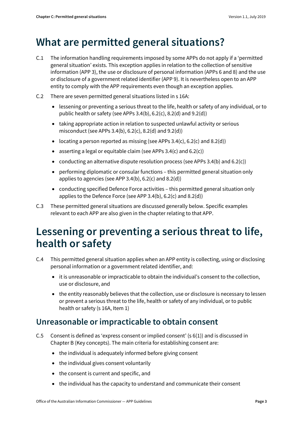#### <span id="page-2-0"></span>**What are permitted general situations?**

- C.1 The information handling requirements imposed by some APPs do not apply if a 'permitted general situation' exists. This exception applies in relation to the collection of sensitive information (APP 3), the use or disclosure of personal information (APPs 6 and 8) and the use or disclosure of a government related identifier (APP 9). It is nevertheless open to an APP entity to comply with the APP requirements even though an exception applies.
- C.2 There are seven permitted general situations listed in s 16A:
	- lessening or preventing a serious threat to the life, health or safety of any individual, or to public health or safety (see APPs 3.4(b), 6.2(c), 8.2(d) and 9.2(d))
	- taking appropriate action in relation to suspected unlawful activity or serious misconduct (see APPs 3.4(b), 6.2(c), 8.2(d) and 9.2(d))
	- locating a person reported as missing (see APPs  $3.4(c)$ ,  $6.2(c)$  and  $8.2(d)$ )
	- asserting a legal or equitable claim (see APPs  $3.4(c)$  and  $6.2(c)$ )
	- conducting an alternative dispute resolution process (see APPs 3.4(b) and 6.2(c))
	- performing diplomatic or consular functions this permitted general situation only applies to agencies (see APP 3.4(b), 6.2(c) and 8.2(d))
	- conducting specified Defence Force activities this permitted general situation only applies to the Defence Force (see APP 3.4(b), 6.2(c) and 8.2(d))
- C.3 These permitted general situations are discussed generally below. Specific examples relevant to each APP are also given in the chapter relating to that APP.

#### <span id="page-2-1"></span>**Lessening or preventing a serious threat to life, health or safety**

- C.4 This permitted general situation applies when an APP entity is collecting, using or disclosing personal information or a government related identifier, and:
	- it is unreasonable or impracticable to obtain the individual's consent to the collection, use or disclosure, and
	- the entity reasonably believes that the collection, use or disclosure is necessary to lessen or prevent a serious threat to the life, health or safety of any individual, or to public health or safety (s 16A, Item 1)

#### <span id="page-2-2"></span>**Unreasonable or impracticable to obtain consent**

- C.5 Consent is defined as 'express consent or implied consent' (s 6(1)) and is discussed in Chapter B (Key concepts). The main criteria for establishing consent are:
	- the individual is adequately informed before giving consent
	- the individual gives consent voluntarily
	- the consent is current and specific, and
	- the individual has the capacity to understand and communicate their consent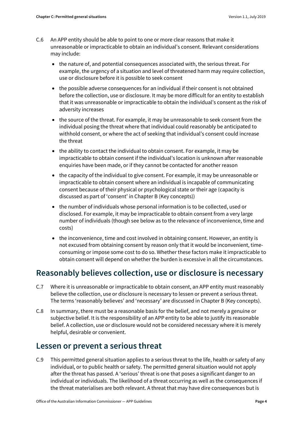- C.6 An APP entity should be able to point to one or more clear reasons that make it unreasonable or impracticable to obtain an individual's consent. Relevant considerations may include:
	- the nature of, and potential consequences associated with, the serious threat. For example, the urgency of a situation and level of threatened harm may require collection, use or disclosure before it is possible to seek consent
	- the possible adverse consequences for an individual if their consent is not obtained before the collection, use or disclosure. It may be more difficult for an entity to establish that it was unreasonable or impracticable to obtain the individual's consent as the risk of adversity increases
	- the source of the threat. For example, it may be unreasonable to seek consent from the individual posing the threat where that individual could reasonably be anticipated to withhold consent, or where the act of seeking that individual's consent could increase the threat
	- the ability to contact the individual to obtain consent. For example, it may be impracticable to obtain consent if the individual's location is unknown after reasonable enquiries have been made, or if they cannot be contacted for another reason
	- the capacity of the individual to give consent. For example, it may be unreasonable or impracticable to obtain consent where an individual is incapable of communicating consent because of their physical or psychological state or their age (capacity is discussed as part of 'consent' in Chapter B (Key concepts))
	- the number of individuals whose personal information is to be collected, used or disclosed. For example, it may be impracticable to obtain consent from a very large number of individuals (though see below as to the relevance of inconvenience, time and costs)
	- the inconvenience, time and cost involved in obtaining consent. However, an entity is not excused from obtaining consent by reason only that it would be inconvenient, timeconsuming or impose some cost to do so. Whether these factors make it impracticable to obtain consent will depend on whether the burden is excessive in all the circumstances.

#### <span id="page-3-0"></span>**Reasonably believes collection, use or disclosure is necessary**

- C.7 Where it is unreasonable or impracticable to obtain consent, an APP entity must reasonably believe the collection, use or disclosure is necessary to lessen or prevent a serious threat. The terms 'reasonably believes' and 'necessary' are discussed in Chapter B (Key concepts).
- C.8 In summary, there must be a reasonable basis for the belief, and not merely a genuine or subjective belief. It is the responsibility of an APP entity to be able to justify its reasonable belief. A collection, use or disclosure would not be considered necessary where it is merely helpful, desirable or convenient.

#### <span id="page-3-1"></span>**Lessen or prevent a serious threat**

C.9 This permitted general situation applies to a serious threat to the life, health or safety of any individual, or to public health or safety. The permitted general situation would not apply after the threat has passed. A 'serious' threat is one that poses a significant danger to an individual or individuals. The likelihood of a threat occurring as well as the consequences if the threat materialises are both relevant. A threat that may have dire consequences but is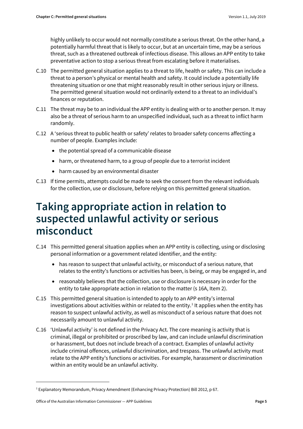highly unlikely to occur would not normally constitute a serious threat. On the other hand, a potentially harmful threat that is likely to occur, but at an uncertain time, may be a serious threat, such as a threatened outbreak of infectious disease. This allows an APP entity to take preventative action to stop a serious threat from escalating before it materialises.

- C.10 The permitted general situation applies to a threat to life, health or safety. This can include a threat to a person's physical or mental health and safety. It could include a potentially life threatening situation or one that might reasonably result in other serious injury or illness. The permitted general situation would not ordinarily extend to a threat to an individual's finances or reputation.
- C.11 The threat may be to an individual the APP entity is dealing with or to another person. It may also be a threat of serious harm to an unspecified individual, such as a threat to inflict harm randomly.
- C.12 A 'serious threat to public health or safety' relates to broader safety concerns affecting a number of people. Examples include:
	- the potential spread of a communicable disease
	- harm, or threatened harm, to a group of people due to a terrorist incident
	- harm caused by an environmental disaster
- C.13 If time permits, attempts could be made to seek the consent from the relevant individuals for the collection, use or disclosure, before relying on this permitted general situation.

### <span id="page-4-0"></span>**Taking appropriate action in relation to suspected unlawful activity or serious misconduct**

- C.14 This permitted general situation applies when an APP entity is collecting, using or disclosing personal information or a government related identifier, and the entity:
	- has reason to suspect that unlawful activity, or misconduct of a serious nature, that relates to the entity's functions or activities has been, is being, or may be engaged in, and
	- reasonably believes that the collection, use or disclosure is necessary in order for the entity to take appropriate action in relation to the matter (s 16A, Item 2).
- C.15 This permitted general situation is intended to apply to an APP entity's internal investigations about activities within or related to the entity.<sup>1</sup> It applies when the entity has reason to suspect unlawful activity, as well as misconduct of a serious nature that does not necessarily amount to unlawful activity.
- C.16 'Unlawful activity' is not defined in the Privacy Act. The core meaning is activity that is criminal, illegal or prohibited or proscribed by law, and can include unlawful discrimination or harassment, but does not include breach of a contract. Examples of unlawful activity include criminal offences, unlawful discrimination, and trespass. The unlawful activity must relate to the APP entity's functions or activities. For example, harassment or discrimination within an entity would be an unlawful activity.

1

<span id="page-4-1"></span><sup>1</sup> Explanatory Memorandum, Privacy Amendment (Enhancing Privacy Protection) Bill 2012, p 67.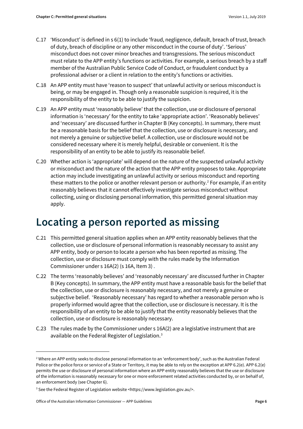- C.17 'Misconduct' is defined in s 6(1) to include 'fraud, negligence, default, breach of trust, breach of duty, breach of discipline or any other misconduct in the course of duty'. 'Serious' misconduct does not cover minor breaches and transgressions. The serious misconduct must relate to the APP entity's functions or activities. For example, a serious breach by a staff member of the Australian Public Service Code of Conduct, or fraudulent conduct by a professional adviser or a client in relation to the entity's functions or activities.
- C.18 An APP entity must have 'reason to suspect' that unlawful activity or serious misconduct is being, or may be engaged in. Though only a reasonable suspicion is required, it is the responsibility of the entity to be able to justify the suspicion.
- C.19 An APP entity must 'reasonably believe' that the collection, use or disclosure of personal information is 'necessary' for the entity to take 'appropriate action'. 'Reasonably believes' and 'necessary' are discussed further in Chapter B (Key concepts). In summary, there must be a reasonable basis for the belief that the collection, use or disclosure is necessary, and not merely a genuine or subjective belief. A collection, use or disclosure would not be considered necessary where it is merely helpful, desirable or convenient. It is the responsibility of an entity to be able to justify its reasonable belief.
- C.20 Whether action is 'appropriate' will depend on the nature of the suspected unlawful activity or misconduct and the nature of the action that the APP entity proposes to take. Appropriate action may include investigating an unlawful activity or serious misconduct and reporting these matters to the police or another relevant person or authority.<sup>[2](#page-5-1)</sup> For example, if an entity reasonably believes that it cannot effectively investigate serious misconduct without collecting, using or disclosing personal information, this permitted general situation may apply.

### <span id="page-5-0"></span>**Locating a person reported as missing**

- C.21 This permitted general situation applies when an APP entity reasonably believes that the collection, use or disclosure of personal information is reasonably necessary to assist any APP entity, body or person to locate a person who has been reported as missing. The collection, use or disclosure must comply with the rules made by the Information Commissioner under s 16A(2) (s 16A, Item 3) .
- C.22 The terms 'reasonably believes' and 'reasonably necessary' are discussed further in Chapter B (Key concepts). In summary, the APP entity must have a reasonable basis for the belief that the collection, use or disclosure is reasonably necessary, and not merely a genuine or subjective belief. 'Reasonably necessary' has regard to whether a reasonable person who is properly informed would agree that the collection, use or disclosure is necessary. It is the responsibility of an entity to be able to justify that the entity reasonably believes that the collection, use or disclosure is reasonably necessary.
- C.23 The rules made by the Commissioner under s 16A(2) are a legislative instrument that are available on the Federal Register of Legislation. [3](#page-5-2)

 $\overline{a}$ 

<span id="page-5-1"></span><sup>&</sup>lt;sup>2</sup> Where an APP entity seeks to disclose personal information to an 'enforcement body', such as the Australian Federal Police or the police force or service of a State or Territory, it may be able to rely on the exception at APP 6.2(e). APP 6.2(e) permits the use or disclosure of personal information where an APP entity reasonably believes that the use or disclosure of the information is reasonably necessary for one or more enforcement related activities conducted by, or on behalf of, an enforcement body (see Chapter 6).

<span id="page-5-2"></span><sup>&</sup>lt;sup>3</sup> See the Federal Register of Legislation website <https://www.legislation.gov.au/>.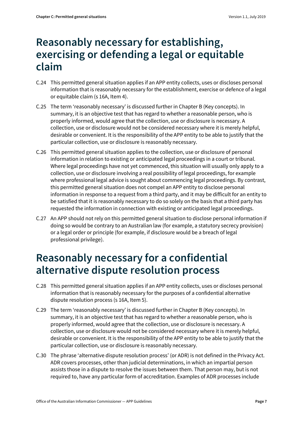### <span id="page-6-0"></span>**Reasonably necessary for establishing, exercising or defending a legal or equitable claim**

- C.24 This permitted general situation applies if an APP entity collects, uses or discloses personal information that is reasonably necessary for the establishment, exercise or defence of a legal or equitable claim (s 16A, Item 4).
- C.25 The term 'reasonably necessary' is discussed further in Chapter B (Key concepts). In summary, it is an objective test that has regard to whether a reasonable person, who is properly informed, would agree that the collection, use or disclosure is necessary. A collection, use or disclosure would not be considered necessary where it is merely helpful, desirable or convenient. It is the responsibility of the APP entity to be able to justify that the particular collection, use or disclosure is reasonably necessary.
- C.26 This permitted general situation applies to the collection, use or disclosure of personal information in relation to existing or anticipated legal proceedings in a court or tribunal. Where legal proceedings have not yet commenced, this situation will usually only apply to a collection, use or disclosure involving a real possibility of legal proceedings, for example where professional legal advice is sought about commencing legal proceedings. By contrast, this permitted general situation does not compel an APP entity to disclose personal information in response to a request from a third party, and it may be difficult for an entity to be satisfied that it is reasonably necessary to do so solely on the basis that a third party has requested the information in connection with existing or anticipated legal proceedings.
- C.27 An APP should not rely on this permitted general situation to disclose personal information if doing so would be contrary to an Australian law (for example, a statutory secrecy provision) or a legal order or principle (for example, if disclosure would be a breach of legal professional privilege).

#### <span id="page-6-1"></span>**Reasonably necessary for a confidential alternative dispute resolution process**

- C.28 This permitted general situation applies if an APP entity collects, uses or discloses personal information that is reasonably necessary for the purposes of a confidential alternative dispute resolution process (s 16A, Item 5).
- C.29 The term 'reasonably necessary' is discussed further in Chapter B (Key concepts). In summary, it is an objective test that has regard to whether a reasonable person, who is properly informed, would agree that the collection, use or disclosure is necessary. A collection, use or disclosure would not be considered necessary where it is merely helpful, desirable or convenient. It is the responsibility of the APP entity to be able to justify that the particular collection, use or disclosure is reasonably necessary.
- C.30 The phrase 'alternative dispute resolution process' (or ADR) is not defined in the Privacy Act. ADR covers processes, other than judicial determinations, in which an impartial person assists those in a dispute to resolve the issues between them. That person may, but is not required to, have any particular form of accreditation. Examples of ADR processes include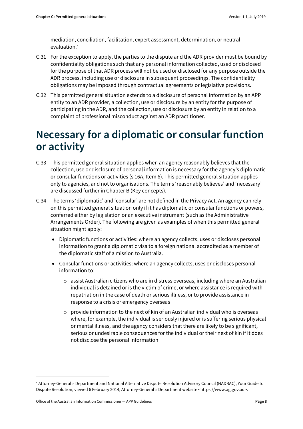mediation, conciliation, facilitation, expert assessment, determination, or neutral evaluation.[4](#page-7-1)

- C.31 For the exception to apply, the parties to the dispute and the ADR provider must be bound by confidentiality obligations such that any personal information collected, used or disclosed for the purpose of that ADR process will not be used or disclosed for any purpose outside the ADR process, including use or disclosure in subsequent proceedings. The confidentiality obligations may be imposed through contractual agreements or legislative provisions.
- C.32 This permitted general situation extends to a disclosure of personal information by an APP entity to an ADR provider, a collection, use or disclosure by an entity for the purpose of participating in the ADR, and the collection, use or disclosure by an entity in relation to a complaint of professional misconduct against an ADR practitioner.

## <span id="page-7-0"></span>**Necessary for a diplomatic or consular function or activity**

- C.33 This permitted general situation applies when an agency reasonably believes that the collection, use or disclosure of personal information is necessary for the agency's diplomatic or consular functions or activities (s 16A, Item 6). This permitted general situation applies only to agencies, and not to organisations. The terms 'reasonably believes' and 'necessary' are discussed further in Chapter B (Key concepts).
- C.34 The terms 'diplomatic' and 'consular' are not defined in the Privacy Act. An agency can rely on this permitted general situation only if it has diplomatic or consular functions or powers, conferred either by legislation or an executive instrument (such as the Administrative Arrangements Order). The following are given as examples of when this permitted general situation might apply:
	- Diplomatic functions or activities: where an agency collects, uses or discloses personal information to grant a diplomatic visa to a foreign national accredited as a member of the diplomatic staff of a mission to Australia.
	- Consular functions or activities: where an agency collects, uses or discloses personal information to:
		- o assist Australian citizens who are in distress overseas, including where an Australian individual is detained or is the victim of crime, or where assistance is required with repatriation in the case of death or serious illness, or to provide assistance in response to a crisis or emergency overseas
		- $\circ$  provide information to the next of kin of an Australian individual who is overseas where, for example, the individual is seriously injured or is suffering serious physical or mental illness, and the agency considers that there are likely to be significant, serious or undesirable consequences for the individual or their next of kin if it does not disclose the personal information

**.** 

<span id="page-7-1"></span><sup>4</sup> Attorney-General's Department and National Alternative Dispute Resolution Advisory Council (NADRAC), Your Guide to Dispute Resolution, viewed 6 February 2014, Attorney-General's Department website <https://www.ag.gov.au>.